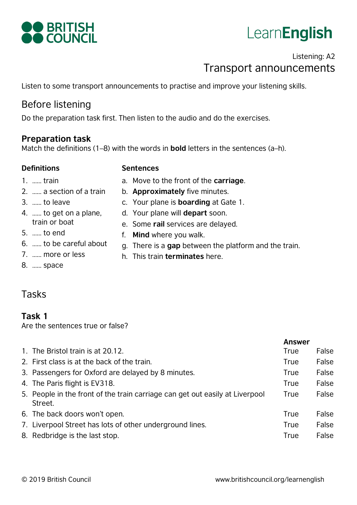

# LearnEnglish

# Listening: A2 Transport announcements

Listen to some transport announcements to practise and improve your listening skills.

# Before listening

Do the preparation task first. Then listen to the audio and do the exercises.

#### **Preparation task**

Match the definitions (1–8) with the words in **bold** letters in the sentences (a–h).

#### **Definitions Sentences**

- 1. …… train
- 2. …… a section of a train
- 3. …… to leave
- 4. …… to get on a plane, train or boat
- 5. …… to end
- 6. …… to be careful about
- 7. …… more or less
- a. Move to the front of the **carriage**.
- b. **Approximately** five minutes.
- c. Your plane is **boarding** at Gate 1.
- d. Your plane will **depart** soon.
- e. Some **rail** services are delayed.
- f. **Mind** where you walk.
- g. There is a **gap** between the platform and the train.
- h. This train **terminates** here.

8. …… space

## Tasks

#### **Task 1**

Are the sentences true or false?

|                                                                                         | <b>Answer</b> |       |
|-----------------------------------------------------------------------------------------|---------------|-------|
| 1. The Bristol train is at 20.12.                                                       | True          | False |
| 2. First class is at the back of the train.                                             | True          | False |
| 3. Passengers for Oxford are delayed by 8 minutes.                                      | True          | False |
| 4. The Paris flight is EV318.                                                           | <b>True</b>   | False |
| 5. People in the front of the train carriage can get out easily at Liverpool<br>Street. | True          | False |
| 6. The back doors won't open.                                                           | True          | False |
| 7. Liverpool Street has lots of other underground lines.                                | True          | False |
| 8. Redbridge is the last stop.                                                          | True          | False |
|                                                                                         |               |       |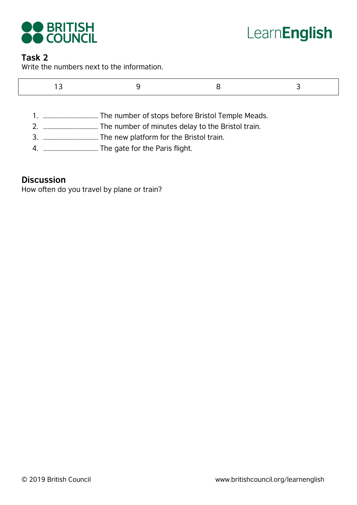

# LearnEnglish

#### **Task 2**

Write the numbers next to the information.

|--|

- 1. ……………………………… The number of stops before Bristol Temple Meads.
- 2. ……………………………… The number of minutes delay to the Bristol train.
- 3. ……………………………… The new platform for the Bristol train.
- 4. ……………………………… The gate for the Paris flight.

#### **Discussion**

How often do you travel by plane or train?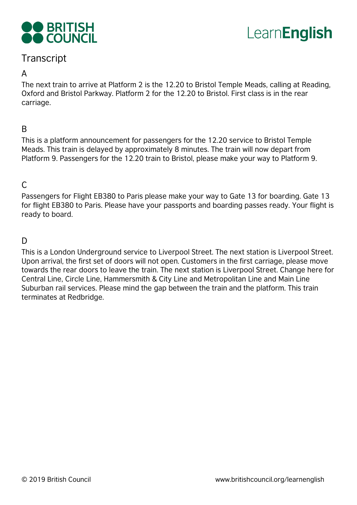



# **Transcript**

#### A

The next train to arrive at Platform 2 is the 12.20 to Bristol Temple Meads, calling at Reading, Oxford and Bristol Parkway. Platform 2 for the 12.20 to Bristol. First class is in the rear carriage.

#### B

This is a platform announcement for passengers for the 12.20 service to Bristol Temple Meads. This train is delayed by approximately 8 minutes. The train will now depart from Platform 9. Passengers for the 12.20 train to Bristol, please make your way to Platform 9.

#### $\mathcal{C}$

Passengers for Flight EB380 to Paris please make your way to Gate 13 for boarding. Gate 13 for flight EB380 to Paris. Please have your passports and boarding passes ready. Your flight is ready to board.

### $\mathsf{D}$

This is a London Underground service to Liverpool Street. The next station is Liverpool Street. Upon arrival, the first set of doors will not open. Customers in the first carriage, please move towards the rear doors to leave the train. The next station is Liverpool Street. Change here for Central Line, Circle Line, Hammersmith & City Line and Metropolitan Line and Main Line Suburban rail services. Please mind the gap between the train and the platform. This train terminates at Redbridge.